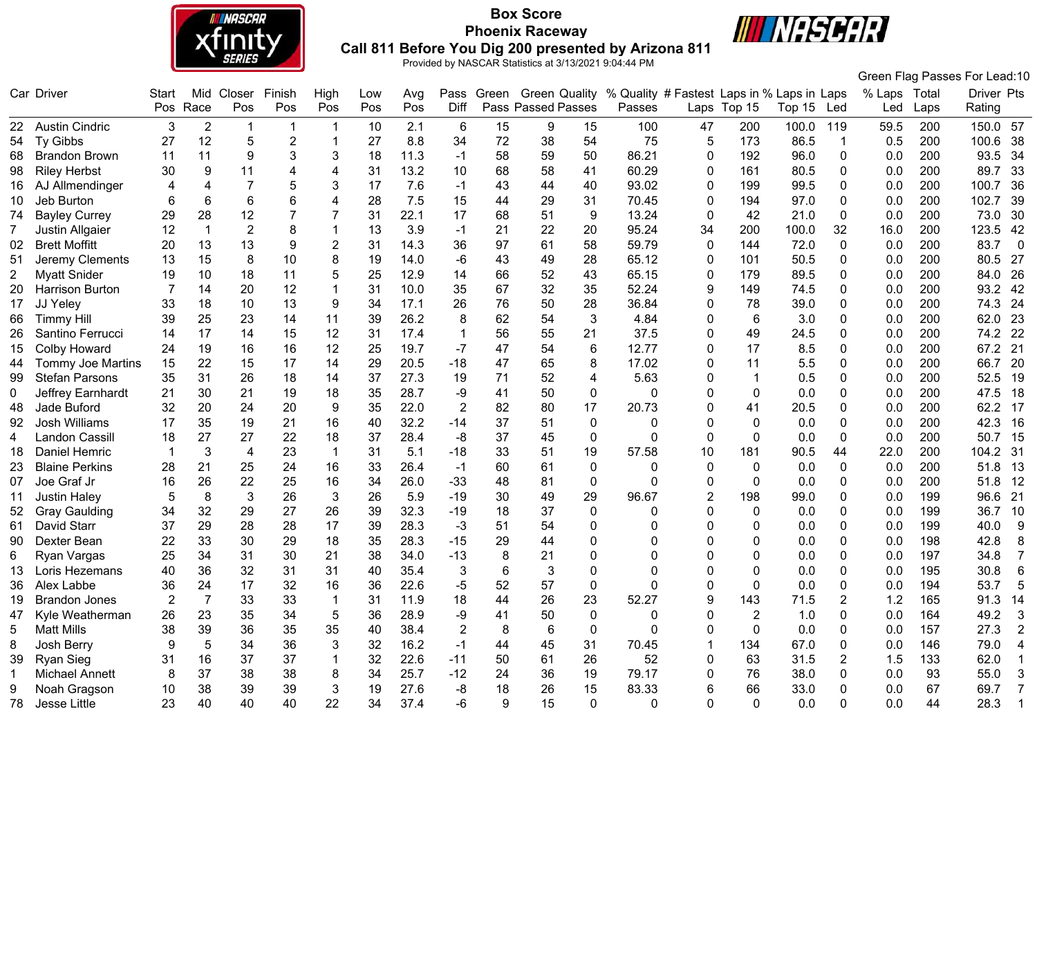

# **Box Score Phoenix Raceway Call 811 Before You Dig 200 presented by Arizona 811**



**III NASCAR** 

|             |                          |                |                |                 |                |                |     |      |                |                  |                    |              |                                                                     |                |             |        |              |              |      | Green Flag Passes For Lead:10   |                |
|-------------|--------------------------|----------------|----------------|-----------------|----------------|----------------|-----|------|----------------|------------------|--------------------|--------------|---------------------------------------------------------------------|----------------|-------------|--------|--------------|--------------|------|---------------------------------|----------------|
|             | Car Driver               | Start          | Mid            | Closer          | Finish         | High           | Low | Avg  |                |                  |                    |              | Pass Green Green Quality % Quality # Fastest Laps in % Laps in Laps |                |             |        |              | % Laps Total |      | Driver Pts                      |                |
|             |                          | Pos            | Race           | Pos             | Pos            | Pos            | Pos | Pos  | Diff           |                  | Pass Passed Passes |              | Passes                                                              |                | Laps Top 15 | Top 15 | Led          | Led          | Laps | Rating                          |                |
|             | 22 Austin Cindric        | 3              | $\overline{2}$ | -1              | -1             |                | 10  | 2.1  | 6              | 15               | 9                  | 15           | 100                                                                 | 47             | 200         | 100.0  | 119          | 59.5         | 200  | 150.0 57                        |                |
| 54          | Ty Gibbs                 | 27             | 12             | 5               | $\overline{c}$ |                | 27  | 8.8  | 34             | 72               | 38                 | 54           | 75                                                                  | 5              | 173         | 86.5   | 1            | 0.5          | 200  | 100.6<br>38                     |                |
| 68          | <b>Brandon Brown</b>     | 11             | 11             | 9               | $\mathbf{3}$   | 3              | 18  | 11.3 | -1             | 58               | 59                 | 50           | 86.21                                                               | $\mathbf{0}$   | 192         | 96.0   | $\mathbf{0}$ | 0.0          | 200  | 93.5<br>34                      |                |
| 98          | <b>Riley Herbst</b>      | 30             | 9              | 11              | 4              | 4              | 31  | 13.2 | 10             | 68               | 58                 | 41           | 60.29                                                               | $\mathbf{0}$   | 161         | 80.5   | 0            | 0.0          | 200  | 89.7<br>33                      |                |
| 16          | AJ Allmendinger          | 4              | 4              |                 | 5              |                | 17  | 7.6  | -1             | 43               | 44                 | 40           | 93.02                                                               | $\mathbf{0}$   | 199         | 99.5   | 0            | 0.0          | 200  | 100.7<br>36                     |                |
| 10          | Jeb Burton               | 6              | 6              | $6\phantom{1}6$ | 6              | 4              | 28  | 7.5  | 15             | 44               | 29                 | 31           | 70.45                                                               | $\mathbf{0}$   | 194         | 97.0   | 0            | 0.0          | 200  | 102.7<br>39                     |                |
| 74          | <b>Bayley Currey</b>     | 29             | 28             | 12              |                |                | 31  | 22.1 | 17             | 68               | 51                 | 9            | 13.24                                                               | $\mathbf 0$    | 42          | 21.0   | 0            | 0.0          | 200  | 73.0<br>30                      |                |
|             | Justin Allgaier          | 12             | $\mathbf{1}$   | $\overline{2}$  | 8              |                | 13  | 3.9  | -1             | 21               | 22                 | 20           | 95.24                                                               | 34             | 200         | 100.0  | 32           | 16.0         | 200  | 123.5<br>42                     |                |
| 02          | <b>Brett Moffitt</b>     | 20             | 13             | 13              | 9              | $\overline{c}$ | 31  | 14.3 | 36             | 97               | 61                 | 58           | 59.79                                                               | $\mathbf{0}$   | 144         | 72.0   | $\mathbf{0}$ | 0.0          | 200  | 83.7                            | $\overline{0}$ |
| 51          | Jeremy Clements          | 13             | 15             | 8               | 10             | 8              | 19  | 14.0 | -6             | 43               | 49                 | 28           | 65.12                                                               | $\mathbf{0}$   | 101         | 50.5   | 0            | 0.0          | 200  | 27<br>80.5                      |                |
| 2           | <b>Myatt Snider</b>      | 19             | 10             | 18              | 11             | 5              | 25  | 12.9 | 14             | 66               | 52                 | 43           | 65.15                                                               | 0              | 179         | 89.5   | 0            | 0.0          | 200  | 26<br>84.0                      |                |
| 20          | <b>Harrison Burton</b>   |                | 14             | 20              | 12             |                | 31  | 10.0 | 35             | 67               | 32                 | 35           | 52.24                                                               | 9              | 149         | 74.5   | 0            | 0.0          | 200  | 42<br>93.2                      |                |
| 17          | JJ Yeley                 | 33             | 18             | 10              | 13             | 9              | 34  | 17.1 | 26             | 76               | 50                 | 28           | 36.84                                                               | $\Omega$       | 78          | 39.0   | 0            | 0.0          | 200  | 74.3<br>24                      |                |
| 66          | <b>Timmy Hill</b>        | 39             | 25             | 23              | 14             | 11             | 39  | 26.2 | 8              | 62               | 54                 | 3            | 4.84                                                                | 0              | 6           | 3.0    | 0            | 0.0          | 200  | 62.0<br>23                      |                |
| 26          | Santino Ferrucci         | 14             | 17             | 14              | 15             | 12             | 31  | 17.4 |                | 56               | 55                 | 21           | 37.5                                                                | $\mathbf{0}$   | 49          | 24.5   | 0            | 0.0          | 200  | 74.2<br>22                      |                |
| 15          | <b>Colby Howard</b>      | 24             | 19             | 16              | 16             | 12             | 25  | 19.7 | $-7$           | 47               | 54                 | 6            | 12.77                                                               | $\mathbf{0}$   | 17          | 8.5    | 0            | 0.0          | 200  | 67.2<br>21                      |                |
| 44          | <b>Tommy Joe Martins</b> | 15             | 22             | 15              | 17             | 14             | 29  | 20.5 | $-18$          | 47               | 65                 | 8            | 17.02                                                               | 0              | 11          | 5.5    | 0            | 0.0          | 200  | 66.7<br>20                      |                |
| 99          | <b>Stefan Parsons</b>    | 35             | 31             | 26              | 18             | 14             | 37  | 27.3 | 19             | 71               | 52                 | 4            | 5.63                                                                | $\Omega$       |             | 0.5    | 0            | 0.0          | 200  | 52.5<br>19                      |                |
| 0           | Jeffrey Earnhardt        | 21             | 30             | 21              | 19             | 18             | 35  | 28.7 | -9             | 41               | 50                 | 0            | $\Omega$                                                            | $\mathbf{0}$   | 0           | 0.0    | 0            | 0.0          | 200  | 47.5<br>18                      |                |
| 48          | Jade Buford              | 32             | 20             | 24              | 20             | 9              | 35  | 22.0 | $\overline{2}$ | 82               | 80                 | 17           | 20.73                                                               | 0              | 41          | 20.5   | 0            | 0.0          | 200  | 62.2<br>17                      |                |
| 92          | Josh Williams            | 17             | 35             | 19              | 21             | 16             | 40  | 32.2 | $-14$          | 37               | 51                 | 0            | 0                                                                   | 0              | 0           | 0.0    | 0            | 0.0          | 200  | 42.3<br>16                      |                |
| 4           | Landon Cassill           | 18             | 27             | 27              | 22             | 18             | 37  | 28.4 | -8             | 37               | 45                 | 0            | 0                                                                   | $\mathbf{0}$   | 0           | 0.0    | 0            | 0.0          | 200  | 50.7<br>15                      |                |
| 18          | Daniel Hemric            | -1             | 3              | $\overline{4}$  | 23             | $\mathbf{1}$   | 31  | 5.1  | $-18$          | 33               | 51                 | 19           | 57.58                                                               | 10             | 181         | 90.5   | 44           | 22.0         | 200  | 104.2 31                        |                |
| 23          | <b>Blaine Perkins</b>    | 28             | 21             | 25              | 24             | 16             | 33  | 26.4 | -1             | 60               | 61                 | 0            | 0                                                                   | 0              | 0           | 0.0    | $\mathbf{0}$ | 0.0          | 200  | 51.8<br>-13                     |                |
| 07          | Joe Graf Jr              | 16             | 26             | 22              | 25             | 16             | 34  | 26.0 | $-33$          | 48               | 81                 | 0            | 0                                                                   | 0              | 0           | 0.0    | 0            | 0.0          | 200  | 12<br>51.8                      |                |
| 11          | <b>Justin Haley</b>      | 5              | 8              | 3               | 26             | 3              | 26  | 5.9  | $-19$          | 30               | 49                 | 29           | 96.67                                                               | $\overline{2}$ | 198         | 99.0   | 0            | 0.0          | 199  | 96.6<br>21                      |                |
| 52          | <b>Gray Gaulding</b>     | 34             | 32             | 29              | 27             | 26             | 39  | 32.3 | $-19$          | 18               | 37                 | $\mathbf{0}$ | 0                                                                   | $\Omega$       | 0           | 0.0    | 0            | 0.0          | 199  | 36.7<br>10                      |                |
| 61          | David Starr              | 37             | 29             | 28              | 28             | 17             | 39  | 28.3 | -3             | 51               | 54                 | $\mathbf{0}$ | 0                                                                   | $\Omega$       | 0           | 0.0    | 0            | 0.0          | 199  | 40.0                            | 9              |
| 90          | Dexter Bean              | 22             | 33             | 30              | 29             | 18             | 35  | 28.3 | $-15$          | 29               | 44                 | $\Omega$     | ŋ                                                                   | ∩              | 0           | 0.0    | 0            | 0.0          | 198  | 42.8                            | 8              |
| 6           | Ryan Vargas              | 25             | 34             | 31              | 30             | 21             | 38  | 34.0 | $-13$          | 8                | 21                 | 0            |                                                                     | ∩              | 0           | 0.0    | 0            | 0.0          | 197  | 34.8                            | $\overline{7}$ |
| 13          | Loris Hezemans           | 40             | 36             | 32              | 31             | 31             | 40  | 35.4 | 3              | 6                | 3                  | 0            | 0                                                                   | ∩              | 0           | 0.0    | 0            | 0.0          | 195  | 30.8                            | 6              |
| 36          | Alex Labbe               | 36             | 24             | 17              | 32             | 16             | 36  | 22.6 | $-5$           | 52               | 57                 | 0            | 0                                                                   | $\mathbf{0}$   | 0           | 0.0    | 0            | 0.0          | 194  | 53.7                            | 5              |
| 19          | <b>Brandon Jones</b>     | $\overline{2}$ | 7              | 33              | 33             |                | 31  | 11.9 | 18             | 44               | 26                 | 23           | 52.27                                                               | 9              | 143         | 71.5   | 2            | 1.2          | 165  | 91.3<br>14                      |                |
| 47          | Kyle Weatherman          | 26             | 23             | 35              | 34             | 5              | 36  | 28.9 | -9             | 41               | 50                 | 0            | 0                                                                   | 0              | 2           | 1.0    | 0            | 0.0          | 164  | 49.2                            | $\mathbf{3}$   |
| 5           | <b>Matt Mills</b>        | 38             | 39             | 36              | 35             | 35             | 40  | 38.4 | $\overline{2}$ | 8                | 6                  | 0            | 0                                                                   | $\mathbf{0}$   | 0           | 0.0    | 0            | 0.0          | 157  | 27.3                            | 2              |
| 8           | Josh Berry               | 9              | 5              | 34              | 36             | 3              | 32  | 16.2 | $-1$           | 44               | 45                 | 31           | 70.45                                                               | 1              | 134         | 67.0   | 0            | 0.0          | 146  | 79.0                            | 4              |
| 39          | Ryan Sieg                | 31             | 16             | 37              | 37             |                | 32  | 22.6 | $-11$          | 50               | 61                 | 26           | 52                                                                  | 0              | 63          | 31.5   | 2            | 1.5          | 133  | 62.0                            |                |
| $\mathbf 1$ | <b>Michael Annett</b>    | 8              | 37             | 38              | 38             | 8              | 34  | 25.7 | $-12$          | 24               | 36                 | 19           | 79.17                                                               | $\mathbf{0}$   | 76          | 38.0   | 0            | 0.0          | 93   | 55.0<br>$\overline{\mathbf{3}}$ |                |
| 9           | Noah Gragson             | 10             | 38             | 39              | 39             | $\sqrt{3}$     | 19  | 27.6 | -8             | 18               | 26                 | 15           | 83.33                                                               | 6              | 66          | 33.0   | 0            | 0.0          | 67   | 69.7<br>$\overline{7}$          |                |
| 78          | Jesse Little             | 23             | 40             | 40              | 40             | 22             | 34  | 37.4 | -6             | $\boldsymbol{9}$ | 15                 | $\pmb{0}$    | 0                                                                   | $\mathbf 0$    | $\mathbf 0$ | 0.0    | 0            | 0.0          | 44   | 28.3                            | $\overline{1}$ |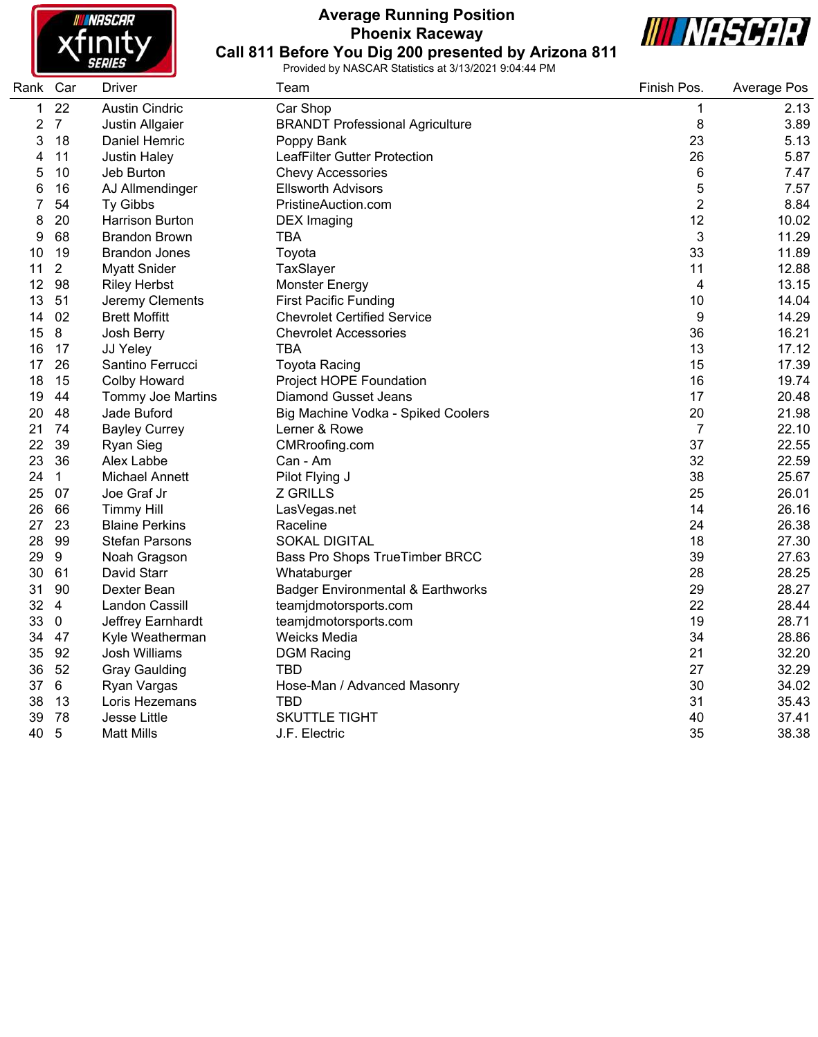

# **Average Running Position Phoenix Raceway Call 811 Before You Dig 200 presented by Arizona 811**



| Rank Car |                | Driver                   | Team                                         | Finish Pos.    | Average Pos |
|----------|----------------|--------------------------|----------------------------------------------|----------------|-------------|
| 1        | 22             | <b>Austin Cindric</b>    | Car Shop                                     | 1              | 2.13        |
| 2        | $\overline{7}$ | Justin Allgaier          | <b>BRANDT Professional Agriculture</b>       | 8              | 3.89        |
| 3        | 18             | Daniel Hemric            | Poppy Bank                                   | 23             | 5.13        |
| 4        | 11             | <b>Justin Haley</b>      | <b>LeafFilter Gutter Protection</b>          | 26             | 5.87        |
| 5        | 10             | Jeb Burton               | <b>Chevy Accessories</b>                     | 6              | 7.47        |
| 6        | 16             | AJ Allmendinger          | <b>Ellsworth Advisors</b>                    | 5              | 7.57        |
| 7        | 54             | Ty Gibbs                 | PristineAuction.com                          | $\overline{2}$ | 8.84        |
| 8        | 20             | Harrison Burton          | <b>DEX</b> Imaging                           | 12             | 10.02       |
| 9        | 68             | <b>Brandon Brown</b>     | <b>TBA</b>                                   | 3              | 11.29       |
| 10       | 19             | <b>Brandon Jones</b>     | Toyota                                       | 33             | 11.89       |
| 11       | $\overline{2}$ | <b>Myatt Snider</b>      | TaxSlayer                                    | 11             | 12.88       |
| 12       | 98             | <b>Riley Herbst</b>      | <b>Monster Energy</b>                        | 4              | 13.15       |
| 13       | 51             | Jeremy Clements          | <b>First Pacific Funding</b>                 | 10             | 14.04       |
| 14       | 02             | <b>Brett Moffitt</b>     | <b>Chevrolet Certified Service</b>           | 9              | 14.29       |
| 15       | 8              | Josh Berry               | <b>Chevrolet Accessories</b>                 | 36             | 16.21       |
| 16       | 17             | JJ Yeley                 | TBA                                          | 13             | 17.12       |
| 17       | 26             | Santino Ferrucci         | <b>Toyota Racing</b>                         | 15             | 17.39       |
| 18       | 15             | <b>Colby Howard</b>      | Project HOPE Foundation                      | 16             | 19.74       |
| 19       | 44             | <b>Tommy Joe Martins</b> | Diamond Gusset Jeans                         | 17             | 20.48       |
| 20       | 48             | Jade Buford              | Big Machine Vodka - Spiked Coolers           | 20             | 21.98       |
| 21       | 74             | <b>Bayley Currey</b>     | Lerner & Rowe                                | $\overline{7}$ | 22.10       |
| 22       | 39             | <b>Ryan Sieg</b>         | CMRroofing.com                               | 37             | 22.55       |
| 23       | 36             | Alex Labbe               | Can - Am                                     | 32             | 22.59       |
| 24       | $\mathbf{1}$   | Michael Annett           | Pilot Flying J                               | 38             | 25.67       |
| 25       | 07             | Joe Graf Jr              | <b>Z GRILLS</b>                              | 25             | 26.01       |
| 26       | 66             | <b>Timmy Hill</b>        | LasVegas.net                                 | 14             | 26.16       |
| 27       | 23             | <b>Blaine Perkins</b>    | Raceline                                     | 24             | 26.38       |
| 28       | 99             | <b>Stefan Parsons</b>    | <b>SOKAL DIGITAL</b>                         | 18             | 27.30       |
| 29       | 9              | Noah Gragson             | Bass Pro Shops TrueTimber BRCC               | 39             | 27.63       |
| 30       | 61             | David Starr              | Whataburger                                  | 28             | 28.25       |
| 31       | 90             | Dexter Bean              | <b>Badger Environmental &amp; Earthworks</b> | 29             | 28.27       |
| 32       | $\overline{4}$ | Landon Cassill           | teamjdmotorsports.com                        | 22             | 28.44       |
| 33       | $\mathbf 0$    | Jeffrey Earnhardt        | teamjdmotorsports.com                        | 19             | 28.71       |
| 34       | 47             | Kyle Weatherman          | Weicks Media                                 | 34             | 28.86       |
| 35       | 92             | Josh Williams            | <b>DGM Racing</b>                            | 21             | 32.20       |
| 36       | 52             | <b>Gray Gaulding</b>     | TBD                                          | 27             | 32.29       |
| 37       | 6              | Ryan Vargas              | Hose-Man / Advanced Masonry                  | 30             | 34.02       |
| 38       | 13             | Loris Hezemans           | <b>TBD</b>                                   | 31             | 35.43       |
| 39       | 78             | Jesse Little             | <b>SKUTTLE TIGHT</b>                         | 40             | 37.41       |
| 40       | 5              | <b>Matt Mills</b>        | J.F. Electric                                | 35             | 38.38       |
|          |                |                          |                                              |                |             |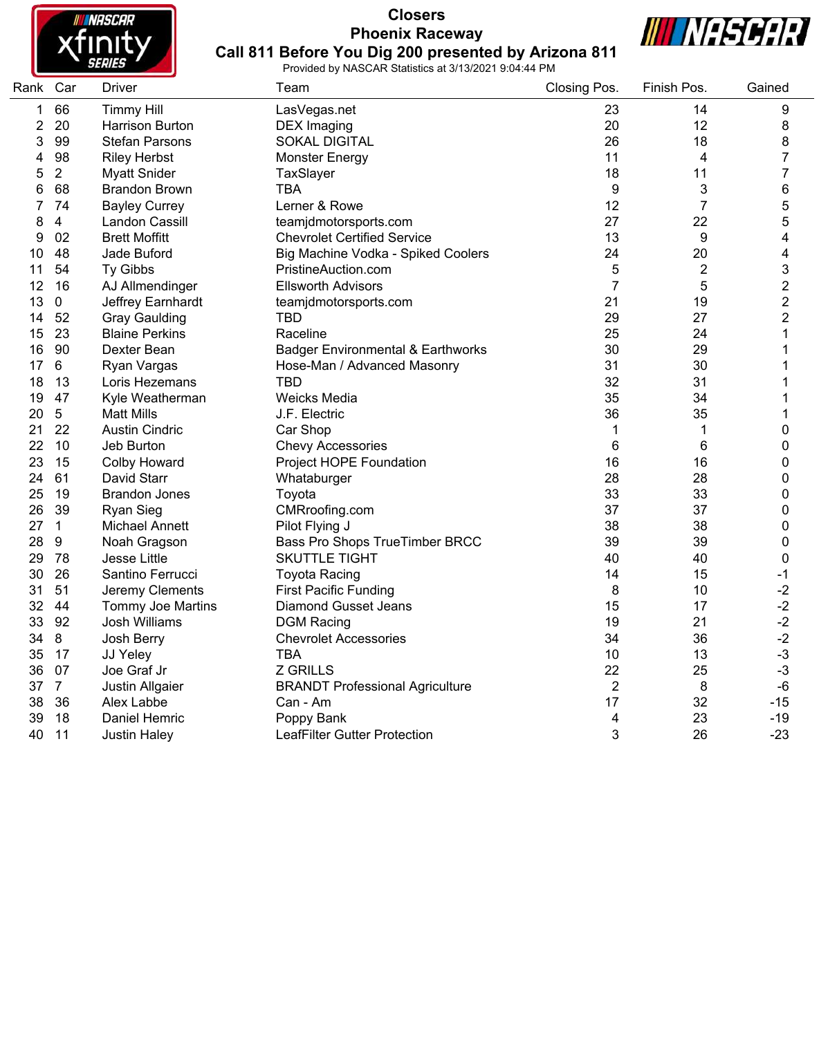

# **Closers Phoenix Raceway Call 811 Before You Dig 200 presented by Arizona 811**



| Rank Car |                | <b>Driver</b>            | Team                                         | Closing Pos.   | Finish Pos.    | Gained                  |
|----------|----------------|--------------------------|----------------------------------------------|----------------|----------------|-------------------------|
| 1        | 66             | <b>Timmy Hill</b>        | LasVegas.net                                 | 23             | 14             | 9                       |
| 2        | 20             | <b>Harrison Burton</b>   | <b>DEX Imaging</b>                           | 20             | 12             | 8                       |
| 3        | 99             | <b>Stefan Parsons</b>    | <b>SOKAL DIGITAL</b>                         | 26             | 18             | 8                       |
| 4        | 98             | <b>Riley Herbst</b>      | <b>Monster Energy</b>                        | 11             | 4              | $\overline{7}$          |
| 5        | $\overline{2}$ | <b>Myatt Snider</b>      | TaxSlayer                                    | 18             | 11             | $\boldsymbol{7}$        |
| 6        | 68             | <b>Brandon Brown</b>     | <b>TBA</b>                                   | 9              | 3              | 6                       |
| 7        | 74             | <b>Bayley Currey</b>     | Lerner & Rowe                                | 12             | $\overline{7}$ | 5                       |
| 8        | 4              | Landon Cassill           | teamjdmotorsports.com                        | 27             | 22             | $\mathbf 5$             |
| 9        | 02             | <b>Brett Moffitt</b>     | <b>Chevrolet Certified Service</b>           | 13             | 9              | $\overline{\mathbf{4}}$ |
| 10       | 48             | Jade Buford              | Big Machine Vodka - Spiked Coolers           | 24             | 20             | 4                       |
| 11       | 54             | Ty Gibbs                 | PristineAuction.com                          | 5              | $\overline{2}$ | 3                       |
| 12       | 16             | AJ Allmendinger          | <b>Ellsworth Advisors</b>                    | $\overline{7}$ | 5              | $\sqrt{2}$              |
| 13       | 0              | Jeffrey Earnhardt        | teamjdmotorsports.com                        | 21             | 19             | $\overline{\mathbf{c}}$ |
| 14       | 52             | <b>Gray Gaulding</b>     | <b>TBD</b>                                   | 29             | 27             | $\overline{\mathbf{c}}$ |
| 15       | 23             | <b>Blaine Perkins</b>    | Raceline                                     | 25             | 24             | $\mathbf{1}$            |
| 16       | 90             | Dexter Bean              | <b>Badger Environmental &amp; Earthworks</b> | 30             | 29             | 1                       |
| 17       | 6              | Ryan Vargas              | Hose-Man / Advanced Masonry                  | 31             | 30             | 1                       |
| 18       | 13             | Loris Hezemans           | <b>TBD</b>                                   | 32             | 31             | 1                       |
| 19       | 47             | Kyle Weatherman          | Weicks Media                                 | 35             | 34             | $\mathbf 1$             |
| 20       | $\overline{5}$ | <b>Matt Mills</b>        | J.F. Electric                                | 36             | 35             | $\mathbf{1}$            |
| 21       | 22             | <b>Austin Cindric</b>    | Car Shop                                     | 1              | 1              | 0                       |
| 22       | 10             | Jeb Burton               | <b>Chevy Accessories</b>                     | 6              | 6              | 0                       |
| 23       | 15             | <b>Colby Howard</b>      | Project HOPE Foundation                      | 16             | 16             | 0                       |
| 24       | 61             | David Starr              | Whataburger                                  | 28             | 28             | 0                       |
| 25       | 19             | <b>Brandon Jones</b>     | Toyota                                       | 33             | 33             | 0                       |
| 26       | 39             | <b>Ryan Sieg</b>         | CMRroofing.com                               | 37             | 37             | 0                       |
| 27       | $\mathbf{1}$   | <b>Michael Annett</b>    | Pilot Flying J                               | 38             | 38             | 0                       |
| 28       | 9              | Noah Gragson             | Bass Pro Shops TrueTimber BRCC               | 39             | 39             | 0                       |
| 29       | 78             | Jesse Little             | <b>SKUTTLE TIGHT</b>                         | 40             | 40             | 0                       |
| 30       | 26             | Santino Ferrucci         | <b>Toyota Racing</b>                         | 14             | 15             | $-1$                    |
| 31       | 51             | Jeremy Clements          | <b>First Pacific Funding</b>                 | 8              | 10             | $-2$                    |
| 32       | 44             | <b>Tommy Joe Martins</b> | <b>Diamond Gusset Jeans</b>                  | 15             | 17             | $-2$                    |
| 33       | 92             | Josh Williams            | <b>DGM Racing</b>                            | 19             | 21             | $-2$                    |
| 34       | 8              | Josh Berry               | <b>Chevrolet Accessories</b>                 | 34             | 36             | $-2$                    |
| 35       | 17             | JJ Yeley                 | <b>TBA</b>                                   | 10             | 13             | $-3$                    |
| 36       | 07             | Joe Graf Jr              | <b>Z GRILLS</b>                              | 22             | 25             | $-3$                    |
| 37       | $\overline{7}$ | Justin Allgaier          | <b>BRANDT Professional Agriculture</b>       | $\overline{2}$ | 8              | $-6$                    |
| 38       | 36             | Alex Labbe               | Can - Am                                     | 17             | 32             | $-15$                   |
| 39       | 18             | Daniel Hemric            | Poppy Bank                                   | 4              | 23             | $-19$                   |
| 40       | 11             | <b>Justin Haley</b>      | LeafFilter Gutter Protection                 | 3              | 26             | $-23$                   |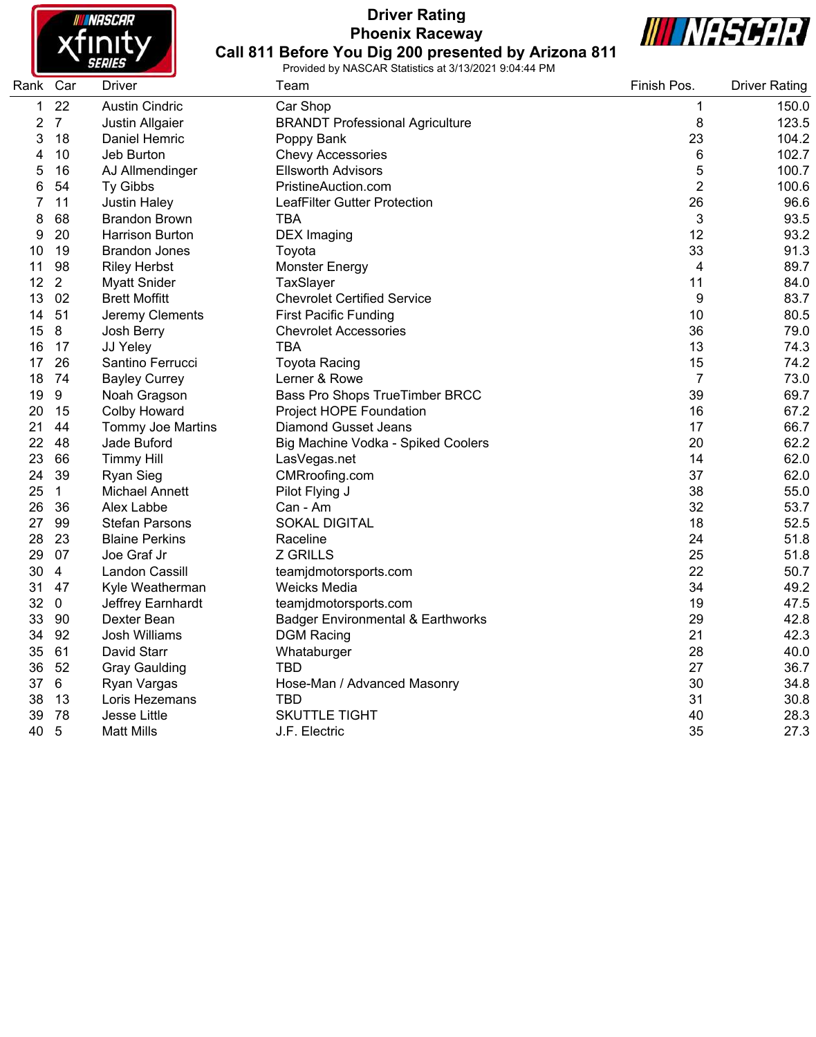

# **Driver Rating Phoenix Raceway Call 811 Before You Dig 200 presented by Arizona 811**



| Rank Car |                  | Driver                   | Team                                         | Finish Pos.    | <b>Driver Rating</b> |
|----------|------------------|--------------------------|----------------------------------------------|----------------|----------------------|
| 1        | 22               | <b>Austin Cindric</b>    | Car Shop                                     | 1              | 150.0                |
| 2        | $\overline{7}$   | Justin Allgaier          | <b>BRANDT Professional Agriculture</b>       | 8              | 123.5                |
| 3        | 18               | Daniel Hemric            | Poppy Bank                                   | 23             | 104.2                |
| 4        | 10               | Jeb Burton               | <b>Chevy Accessories</b>                     | 6              | 102.7                |
| 5        | 16               | AJ Allmendinger          | <b>Ellsworth Advisors</b>                    | 5              | 100.7                |
| 6        | 54               | Ty Gibbs                 | PristineAuction.com                          | $\overline{2}$ | 100.6                |
| 7        | 11               | <b>Justin Haley</b>      | LeafFilter Gutter Protection                 | 26             | 96.6                 |
| 8        | 68               | <b>Brandon Brown</b>     | TBA                                          | 3              | 93.5                 |
| 9        | 20               | <b>Harrison Burton</b>   | <b>DEX</b> Imaging                           | 12             | 93.2                 |
| 10       | 19               | <b>Brandon Jones</b>     | Toyota                                       | 33             | 91.3                 |
| 11       | 98               | <b>Riley Herbst</b>      | Monster Energy                               | 4              | 89.7                 |
| 12       | 2                | <b>Myatt Snider</b>      | TaxSlayer                                    | 11             | 84.0                 |
| 13       | 02               | <b>Brett Moffitt</b>     | <b>Chevrolet Certified Service</b>           | 9              | 83.7                 |
| 14       | 51               | Jeremy Clements          | <b>First Pacific Funding</b>                 | 10             | 80.5                 |
| 15       | 8                | Josh Berry               | <b>Chevrolet Accessories</b>                 | 36             | 79.0                 |
| 16       | 17               | JJ Yeley                 | TBA                                          | 13             | 74.3                 |
| 17       | 26               | Santino Ferrucci         | <b>Toyota Racing</b>                         | 15             | 74.2                 |
| 18       | 74               | <b>Bayley Currey</b>     | Lerner & Rowe                                | $\overline{7}$ | 73.0                 |
| 19       | $\boldsymbol{9}$ | Noah Gragson             | Bass Pro Shops TrueTimber BRCC               | 39             | 69.7                 |
| 20       | 15               | <b>Colby Howard</b>      | Project HOPE Foundation                      | 16             | 67.2                 |
| 21       | 44               | <b>Tommy Joe Martins</b> | <b>Diamond Gusset Jeans</b>                  | 17             | 66.7                 |
| 22       | 48               | Jade Buford              | Big Machine Vodka - Spiked Coolers           | 20             | 62.2                 |
| 23       | 66               | <b>Timmy Hill</b>        | LasVegas.net                                 | 14             | 62.0                 |
| 24       | 39               | <b>Ryan Sieg</b>         | CMRroofing.com                               | 37             | 62.0                 |
| 25       | $\mathbf{1}$     | <b>Michael Annett</b>    | Pilot Flying J                               | 38             | 55.0                 |
| 26       | 36               | Alex Labbe               | Can - Am                                     | 32             | 53.7                 |
| 27       | 99               | <b>Stefan Parsons</b>    | <b>SOKAL DIGITAL</b>                         | 18             | 52.5                 |
| 28       | 23               | <b>Blaine Perkins</b>    | Raceline                                     | 24             | 51.8                 |
| 29       | 07               | Joe Graf Jr              | <b>Z GRILLS</b>                              | 25             | 51.8                 |
| 30       | $\overline{4}$   | Landon Cassill           | teamjdmotorsports.com                        | 22             | 50.7                 |
| 31       | 47               | Kyle Weatherman          | Weicks Media                                 | 34             | 49.2                 |
| 32       | $\mathbf 0$      | Jeffrey Earnhardt        | teamjdmotorsports.com                        | 19             | 47.5                 |
| 33       | 90               | Dexter Bean              | <b>Badger Environmental &amp; Earthworks</b> | 29             | 42.8                 |
| 34       | 92               | <b>Josh Williams</b>     | <b>DGM Racing</b>                            | 21             | 42.3                 |
| 35       | 61               | David Starr              | Whataburger                                  | 28             | 40.0                 |
| 36       | 52               | <b>Gray Gaulding</b>     | TBD                                          | 27             | 36.7                 |
| 37       | 6                | Ryan Vargas              | Hose-Man / Advanced Masonry                  | 30             | 34.8                 |
| 38       | 13               | Loris Hezemans           | <b>TBD</b>                                   | 31             | 30.8                 |
| 39       | 78               | Jesse Little             | <b>SKUTTLE TIGHT</b>                         | 40             | 28.3                 |
| 40       | 5                | <b>Matt Mills</b>        | J.F. Electric                                | 35             | 27.3                 |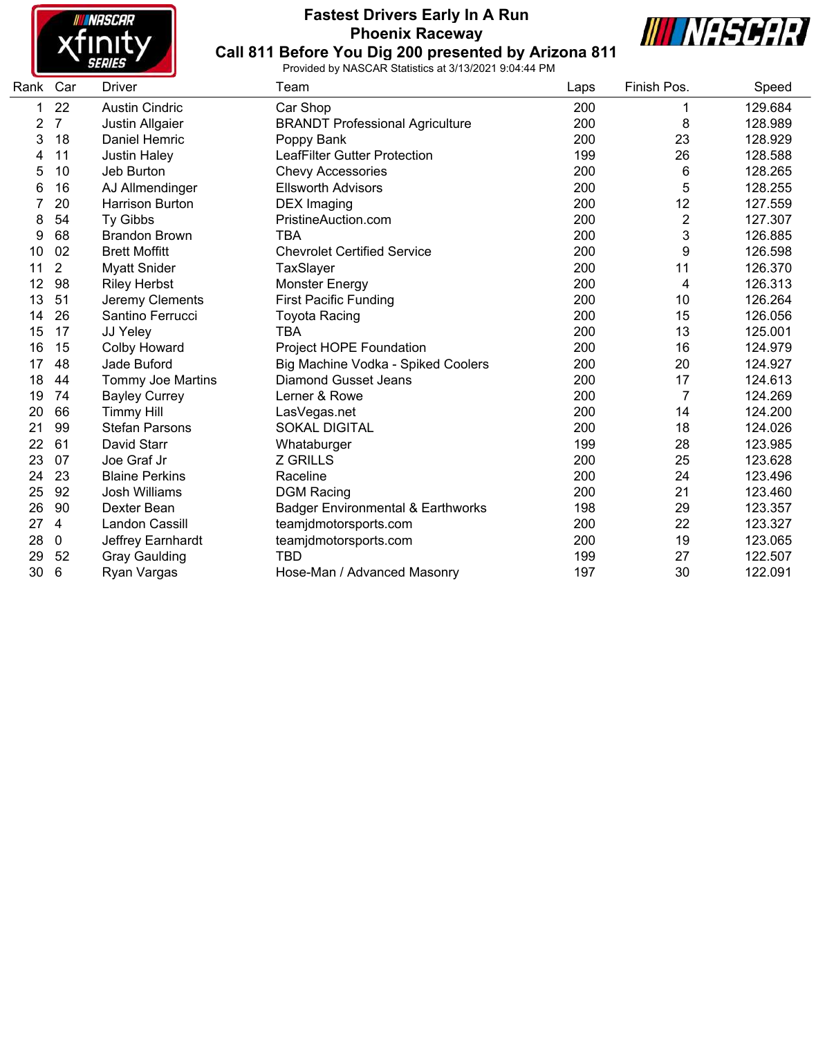

# **Fastest Drivers Early In A Run Phoenix Raceway Call 811 Before You Dig 200 presented by Arizona 811**



| Rank Car |                | <b>Driver</b>            | Team                                         | Laps | Finish Pos.    | Speed   |
|----------|----------------|--------------------------|----------------------------------------------|------|----------------|---------|
| 1        | 22             | <b>Austin Cindric</b>    | Car Shop                                     | 200  | 1              | 129.684 |
| 2        | $\overline{7}$ | Justin Allgaier          | <b>BRANDT Professional Agriculture</b>       | 200  | 8              | 128.989 |
| 3        | 18             | Daniel Hemric            | Poppy Bank                                   | 200  | 23             | 128.929 |
| 4        | 11             | <b>Justin Haley</b>      | LeafFilter Gutter Protection                 | 199  | 26             | 128.588 |
| 5        | 10             | Jeb Burton               | <b>Chevy Accessories</b>                     | 200  | 6              | 128.265 |
| 6        | 16             | AJ Allmendinger          | <b>Ellsworth Advisors</b>                    | 200  | 5              | 128.255 |
|          | 20             | <b>Harrison Burton</b>   | DEX Imaging                                  | 200  | 12             | 127.559 |
| 8        | 54             | <b>Ty Gibbs</b>          | PristineAuction.com                          | 200  | $\overline{2}$ | 127.307 |
| 9        | 68             | <b>Brandon Brown</b>     | <b>TBA</b>                                   | 200  | 3              | 126.885 |
| 10       | 02             | <b>Brett Moffitt</b>     | <b>Chevrolet Certified Service</b>           | 200  | 9              | 126.598 |
| 11       | 2              | <b>Myatt Snider</b>      | TaxSlayer                                    | 200  | 11             | 126.370 |
| 12       | 98             | <b>Riley Herbst</b>      | <b>Monster Energy</b>                        | 200  | 4              | 126.313 |
| 13       | 51             | Jeremy Clements          | <b>First Pacific Funding</b>                 | 200  | 10             | 126.264 |
| 14       | 26             | Santino Ferrucci         | <b>Toyota Racing</b>                         | 200  | 15             | 126.056 |
| 15       | 17             | JJ Yeley                 | TBA                                          | 200  | 13             | 125.001 |
| 16       | 15             | <b>Colby Howard</b>      | Project HOPE Foundation                      | 200  | 16             | 124.979 |
| 17       | 48             | Jade Buford              | Big Machine Vodka - Spiked Coolers           | 200  | 20             | 124.927 |
| 18       | 44             | <b>Tommy Joe Martins</b> | <b>Diamond Gusset Jeans</b>                  | 200  | 17             | 124.613 |
| 19       | 74             | <b>Bayley Currey</b>     | Lerner & Rowe                                | 200  | $\overline{7}$ | 124.269 |
| 20       | 66             | <b>Timmy Hill</b>        | LasVegas.net                                 | 200  | 14             | 124.200 |
| 21       | 99             | <b>Stefan Parsons</b>    | <b>SOKAL DIGITAL</b>                         | 200  | 18             | 124.026 |
| 22       | 61             | David Starr              | Whataburger                                  | 199  | 28             | 123.985 |
| 23       | 07             | Joe Graf Jr              | <b>Z GRILLS</b>                              | 200  | 25             | 123.628 |
| 24       | 23             | <b>Blaine Perkins</b>    | Raceline                                     | 200  | 24             | 123.496 |
| 25       | 92             | <b>Josh Williams</b>     | <b>DGM Racing</b>                            | 200  | 21             | 123.460 |
| 26       | 90             | Dexter Bean              | <b>Badger Environmental &amp; Earthworks</b> | 198  | 29             | 123.357 |
| 27       | 4              | Landon Cassill           | teamjdmotorsports.com                        | 200  | 22             | 123.327 |
| 28       | 0              | Jeffrey Earnhardt        | teamjdmotorsports.com                        | 200  | 19             | 123.065 |
| 29       | 52             | <b>Gray Gaulding</b>     | <b>TBD</b>                                   | 199  | 27             | 122.507 |
| 30       | 6              | Ryan Vargas              | Hose-Man / Advanced Masonry                  | 197  | 30             | 122.091 |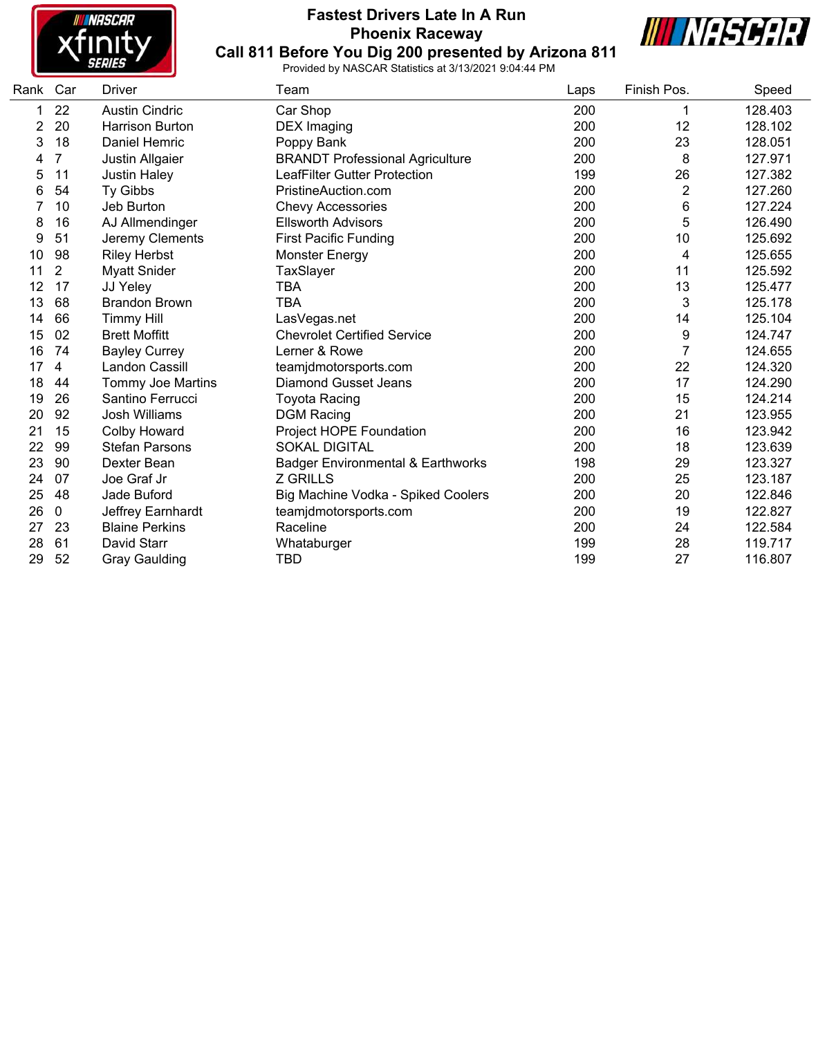

# **Fastest Drivers Late In A Run Phoenix Raceway Call 811 Before You Dig 200 presented by Arizona 811**



| Rank | Car            | Driver                   | Team                                         | Laps | Finish Pos. | Speed   |
|------|----------------|--------------------------|----------------------------------------------|------|-------------|---------|
|      | 22             | <b>Austin Cindric</b>    | Car Shop                                     | 200  | 1           | 128.403 |
| 2    | 20             | <b>Harrison Burton</b>   | <b>DEX</b> Imaging                           | 200  | 12          | 128.102 |
| 3    | 18             | <b>Daniel Hemric</b>     | Poppy Bank                                   | 200  | 23          | 128.051 |
| 4    | 7              | Justin Allgaier          | <b>BRANDT Professional Agriculture</b>       | 200  | 8           | 127.971 |
| 5    | 11             | <b>Justin Haley</b>      | <b>LeafFilter Gutter Protection</b>          | 199  | 26          | 127.382 |
| 6    | 54             | Ty Gibbs                 | PristineAuction.com                          | 200  | 2           | 127.260 |
| 7    | 10             | Jeb Burton               | <b>Chevy Accessories</b>                     | 200  | 6           | 127.224 |
| 8    | 16             | AJ Allmendinger          | <b>Ellsworth Advisors</b>                    | 200  | 5           | 126.490 |
| 9    | 51             | Jeremy Clements          | <b>First Pacific Funding</b>                 | 200  | 10          | 125.692 |
| 10   | 98             | <b>Riley Herbst</b>      | <b>Monster Energy</b>                        | 200  | 4           | 125.655 |
| 11   | $\overline{2}$ | <b>Myatt Snider</b>      | TaxSlayer                                    | 200  | 11          | 125.592 |
| 12   | 17             | JJ Yeley                 | <b>TBA</b>                                   | 200  | 13          | 125.477 |
| 13   | 68             | <b>Brandon Brown</b>     | <b>TBA</b>                                   | 200  | 3           | 125.178 |
| 14   | 66             | <b>Timmy Hill</b>        | LasVegas.net                                 | 200  | 14          | 125.104 |
| 15   | 02             | <b>Brett Moffitt</b>     | <b>Chevrolet Certified Service</b>           | 200  | 9           | 124.747 |
| 16   | 74             | <b>Bayley Currey</b>     | Lerner & Rowe                                | 200  | 7           | 124.655 |
| 17   | 4              | Landon Cassill           | teamjdmotorsports.com                        | 200  | 22          | 124.320 |
| 18   | 44             | <b>Tommy Joe Martins</b> | <b>Diamond Gusset Jeans</b>                  | 200  | 17          | 124.290 |
| 19   | 26             | Santino Ferrucci         | <b>Toyota Racing</b>                         | 200  | 15          | 124.214 |
| 20   | 92             | <b>Josh Williams</b>     | <b>DGM Racing</b>                            | 200  | 21          | 123.955 |
| 21   | 15             | Colby Howard             | Project HOPE Foundation                      | 200  | 16          | 123.942 |
| 22   | 99             | <b>Stefan Parsons</b>    | <b>SOKAL DIGITAL</b>                         | 200  | 18          | 123.639 |
| 23   | 90             | Dexter Bean              | <b>Badger Environmental &amp; Earthworks</b> | 198  | 29          | 123.327 |
| 24   | 07             | Joe Graf Jr              | <b>Z GRILLS</b>                              | 200  | 25          | 123.187 |
| 25   | 48             | Jade Buford              | Big Machine Vodka - Spiked Coolers           | 200  | 20          | 122.846 |
| 26   | 0              | Jeffrey Earnhardt        | teamjdmotorsports.com                        | 200  | 19          | 122.827 |
| 27   | 23             | <b>Blaine Perkins</b>    | Raceline                                     | 200  | 24          | 122.584 |
| 28   | 61             | David Starr              | Whataburger                                  | 199  | 28          | 119.717 |
| 29   | 52             | <b>Gray Gaulding</b>     | TBD                                          | 199  | 27          | 116.807 |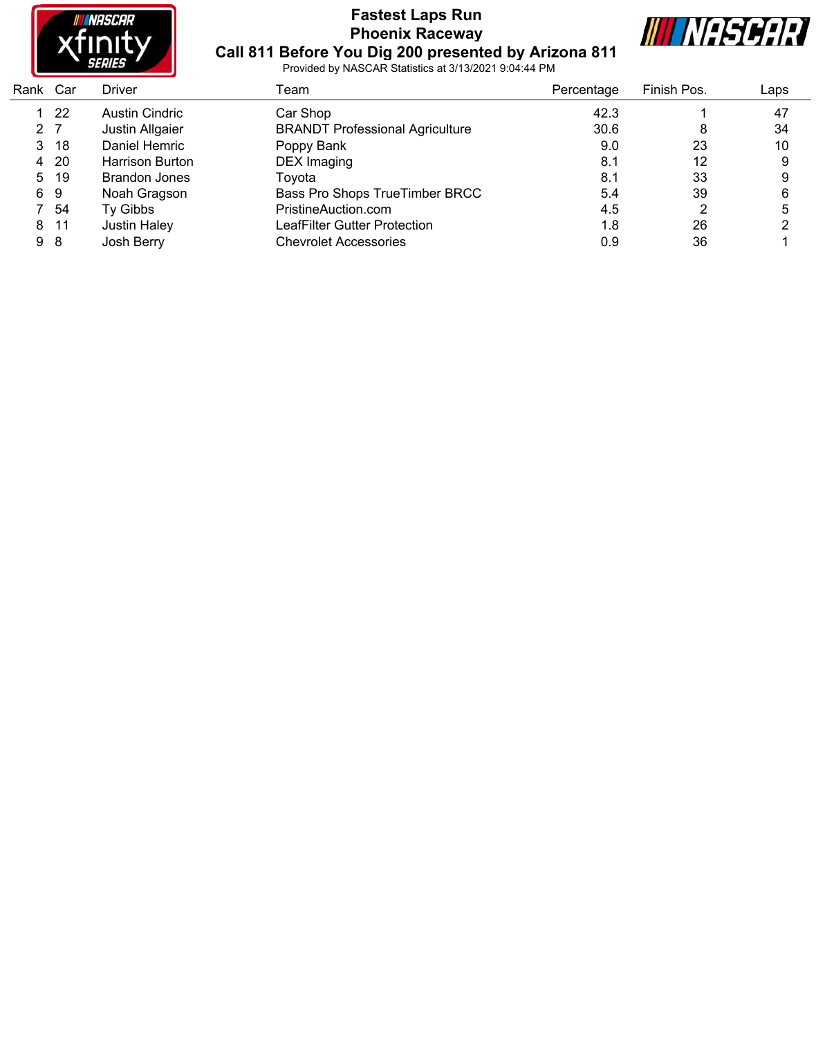

# **Fastest Laps Run Phoenix Raceway Call 811 Before You Dig 200 presented by Arizona 811**



| Rank Car       |     | Driver                 | Team                                   | Percentage | Finish Pos. | Laps |
|----------------|-----|------------------------|----------------------------------------|------------|-------------|------|
|                | -22 | Austin Cindric         | Car Shop                               | 42.3       |             | 47   |
| 2 <sub>7</sub> |     | Justin Allgaier        | <b>BRANDT Professional Agriculture</b> | 30.6       | 8           | 34   |
| 3.             | -18 | Daniel Hemric          | Poppy Bank                             | 9.0        | 23          | 10   |
| 4              | -20 | <b>Harrison Burton</b> | DEX Imaging                            | 8.1        | 12          | 9    |
| 5              | -19 | Brandon Jones          | Toyota                                 | 8.1        | 33          | 9    |
|                | 69  | Noah Gragson           | Bass Pro Shops TrueTimber BRCC         | 5.4        | 39          | 6    |
|                | -54 | Ty Gibbs               | PristineAuction.com                    | 4.5        | າ           | 5    |
| 8              | -11 | <b>Justin Haley</b>    | LeafFilter Gutter Protection           | 1.8        | 26          |      |
| 98             |     | Josh Berry             | <b>Chevrolet Accessories</b>           | 0.9        | 36          |      |
|                |     |                        |                                        |            |             |      |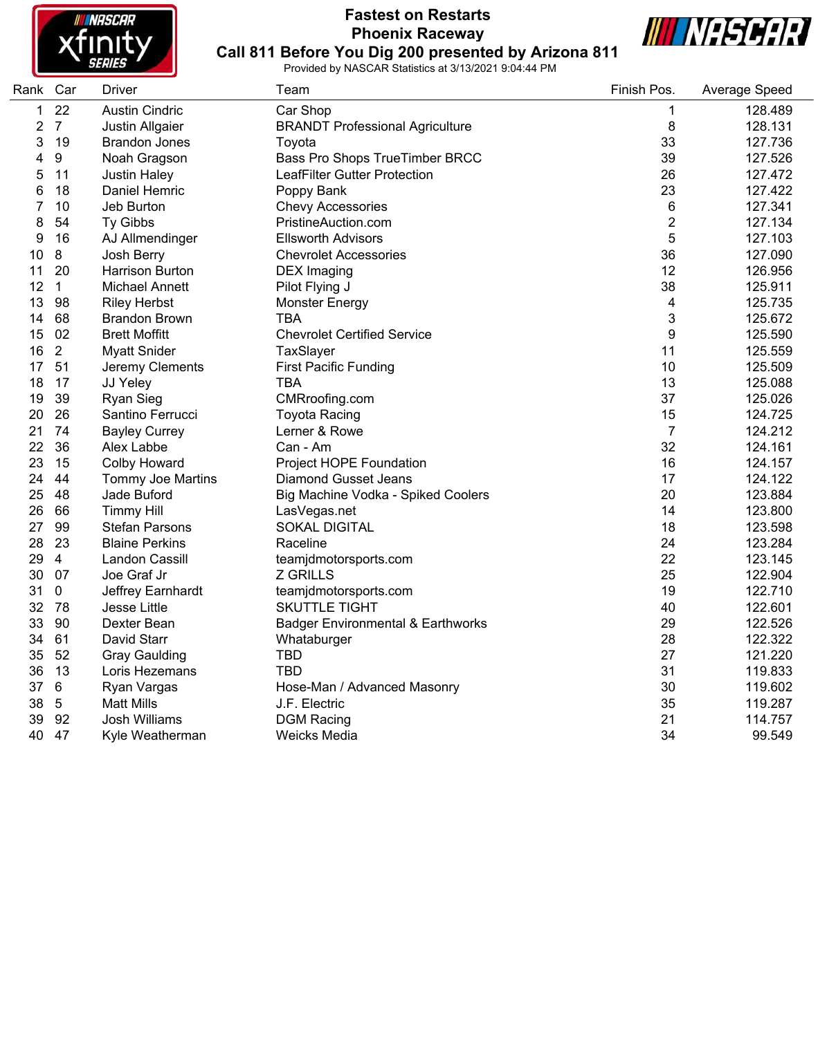

#### **Fastest on Restarts Phoenix Raceway Call 811 Before You Dig 200 presented by Arizona 811**



| Rank Car       |                | <b>Driver</b>            | Team                                         | Finish Pos.             | Average Speed |
|----------------|----------------|--------------------------|----------------------------------------------|-------------------------|---------------|
| $\mathbf{1}$   | 22             | <b>Austin Cindric</b>    | Car Shop                                     | 1                       | 128.489       |
| $\overline{2}$ | $\overline{7}$ | Justin Allgaier          | <b>BRANDT Professional Agriculture</b>       | 8                       | 128.131       |
| 3              | 19             | <b>Brandon Jones</b>     | Toyota                                       | 33                      | 127.736       |
| 4              | 9              | Noah Gragson             | Bass Pro Shops TrueTimber BRCC               | 39                      | 127.526       |
| 5              | 11             | <b>Justin Haley</b>      | LeafFilter Gutter Protection                 | 26                      | 127.472       |
| 6              | 18             | Daniel Hemric            | Poppy Bank                                   | 23                      | 127.422       |
| 7              | 10             | Jeb Burton               | Chevy Accessories                            | 6                       | 127.341       |
| 8              | 54             | Ty Gibbs                 | PristineAuction.com                          | $\overline{c}$          | 127.134       |
| 9              | 16             | AJ Allmendinger          | <b>Ellsworth Advisors</b>                    | 5                       | 127.103       |
| 10             | $\bf 8$        | Josh Berry               | <b>Chevrolet Accessories</b>                 | 36                      | 127.090       |
| 11             | 20             | Harrison Burton          | <b>DEX</b> Imaging                           | 12                      | 126.956       |
| 12             | $\mathbf{1}$   | <b>Michael Annett</b>    | Pilot Flying J                               | 38                      | 125.911       |
| 13             | 98             | <b>Riley Herbst</b>      | <b>Monster Energy</b>                        | $\overline{\mathbf{4}}$ | 125.735       |
| 14             | 68             | <b>Brandon Brown</b>     | <b>TBA</b>                                   | 3                       | 125.672       |
| 15             | 02             | <b>Brett Moffitt</b>     | <b>Chevrolet Certified Service</b>           | 9                       | 125.590       |
| 16             | $\mathbf{2}$   | <b>Myatt Snider</b>      | TaxSlayer                                    | 11                      | 125.559       |
| 17             | 51             | Jeremy Clements          | <b>First Pacific Funding</b>                 | 10                      | 125.509       |
| 18             | 17             | JJ Yeley                 | <b>TBA</b>                                   | 13                      | 125.088       |
| 19             | 39             | Ryan Sieg                | CMRroofing.com                               | 37                      | 125.026       |
| 20             | 26             | Santino Ferrucci         | <b>Toyota Racing</b>                         | 15                      | 124.725       |
| 21             | 74             | <b>Bayley Currey</b>     | Lerner & Rowe                                | $\overline{7}$          | 124.212       |
| 22             | 36             | Alex Labbe               | Can - Am                                     | 32                      | 124.161       |
| 23             | 15             | <b>Colby Howard</b>      | Project HOPE Foundation                      | 16                      | 124.157       |
| 24             | 44             | <b>Tommy Joe Martins</b> | <b>Diamond Gusset Jeans</b>                  | 17                      | 124.122       |
| 25             | 48             | Jade Buford              | Big Machine Vodka - Spiked Coolers           | 20                      | 123.884       |
| 26             | 66             | <b>Timmy Hill</b>        | LasVegas.net                                 | 14                      | 123.800       |
| 27             | 99             | <b>Stefan Parsons</b>    | <b>SOKAL DIGITAL</b>                         | 18                      | 123.598       |
| 28             | 23             | <b>Blaine Perkins</b>    | Raceline                                     | 24                      | 123.284       |
| 29             | $\overline{4}$ | Landon Cassill           | teamjdmotorsports.com                        | 22                      | 123.145       |
| 30             | 07             | Joe Graf Jr              | <b>Z GRILLS</b>                              | 25                      | 122.904       |
| 31             | $\mathbf 0$    | Jeffrey Earnhardt        | teamjdmotorsports.com                        | 19                      | 122.710       |
| 32             | 78             | Jesse Little             | <b>SKUTTLE TIGHT</b>                         | 40                      | 122.601       |
| 33             | 90             | Dexter Bean              | <b>Badger Environmental &amp; Earthworks</b> | 29                      | 122.526       |
| 34             | 61             | David Starr              | Whataburger                                  | 28                      | 122.322       |
| 35             | 52             | <b>Gray Gaulding</b>     | <b>TBD</b>                                   | 27                      | 121.220       |
| 36             | 13             | Loris Hezemans           | <b>TBD</b>                                   | 31                      | 119.833       |
| 37             | 6              | Ryan Vargas              | Hose-Man / Advanced Masonry                  | 30                      | 119.602       |
| 38             | $\sqrt{5}$     | <b>Matt Mills</b>        | J.F. Electric                                | 35                      | 119.287       |
| 39             | 92             | <b>Josh Williams</b>     | <b>DGM Racing</b>                            | 21                      | 114.757       |
| 40             | 47             | Kyle Weatherman          | Weicks Media                                 | 34                      | 99.549        |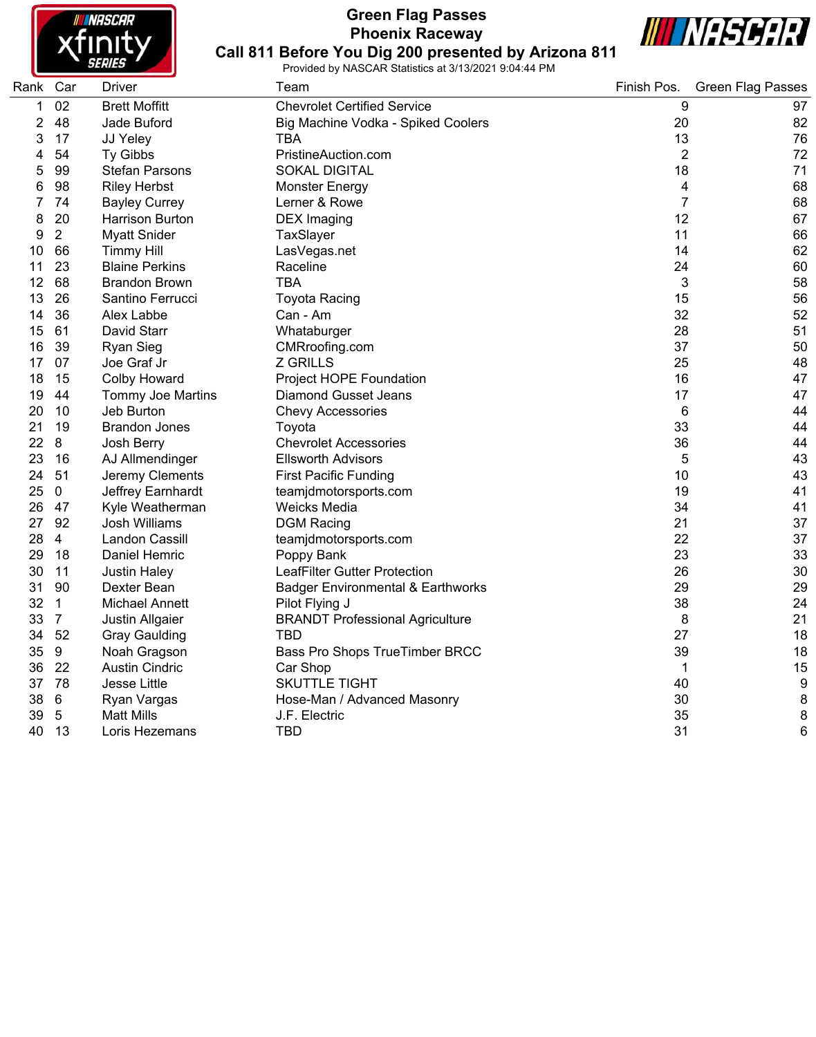

# **Green Flag Passes Phoenix Raceway**



**Call 811 Before You Dig 200 presented by Arizona 811** Provided by NASCAR Statistics at 3/13/2021 9:04:44 PM

| Rank        | Car            | Driver                | Team                                         | Finish Pos.    | <b>Green Flag Passes</b> |
|-------------|----------------|-----------------------|----------------------------------------------|----------------|--------------------------|
| $\mathbf 1$ | 02             | <b>Brett Moffitt</b>  | <b>Chevrolet Certified Service</b>           | 9              | 97                       |
| 2           | 48             | Jade Buford           | Big Machine Vodka - Spiked Coolers           | 20             | 82                       |
| 3           | 17             | JJ Yeley              | <b>TBA</b>                                   | 13             | 76                       |
| 4           | 54             | Ty Gibbs              | PristineAuction.com                          | $\overline{2}$ | 72                       |
| 5           | 99             | <b>Stefan Parsons</b> | <b>SOKAL DIGITAL</b>                         | 18             | 71                       |
| 6           | 98             | <b>Riley Herbst</b>   | <b>Monster Energy</b>                        | 4              | 68                       |
| 7           | 74             | <b>Bayley Currey</b>  | Lerner & Rowe                                | $\overline{7}$ | 68                       |
| 8           | 20             | Harrison Burton       | <b>DEX</b> Imaging                           | 12             | 67                       |
| 9           | $\overline{2}$ | <b>Myatt Snider</b>   | TaxSlayer                                    | 11             | 66                       |
| 10          | 66             | <b>Timmy Hill</b>     | LasVegas.net                                 | 14             | 62                       |
| 11          | 23             | <b>Blaine Perkins</b> | Raceline                                     | 24             | 60                       |
| 12          | 68             | <b>Brandon Brown</b>  | <b>TBA</b>                                   | 3              | 58                       |
| 13          | 26             | Santino Ferrucci      | <b>Toyota Racing</b>                         | 15             | 56                       |
| 14          | 36             | Alex Labbe            | Can - Am                                     | 32             | 52                       |
| 15          | 61             | David Starr           | Whataburger                                  | 28             | 51                       |
| 16          | 39             | Ryan Sieg             | CMRroofing.com                               | 37             | 50                       |
| 17          | 07             | Joe Graf Jr           | <b>Z GRILLS</b>                              | 25             | 48                       |
| 18          | 15             | <b>Colby Howard</b>   | Project HOPE Foundation                      | 16             | 47                       |
| 19          | 44             | Tommy Joe Martins     | <b>Diamond Gusset Jeans</b>                  | 17             | 47                       |
| 20          | 10             | Jeb Burton            | <b>Chevy Accessories</b>                     | 6              | 44                       |
| 21          | 19             | <b>Brandon Jones</b>  | Toyota                                       | 33             | 44                       |
| 22          | 8              | Josh Berry            | <b>Chevrolet Accessories</b>                 | 36             | 44                       |
| 23          | 16             | AJ Allmendinger       | <b>Ellsworth Advisors</b>                    | 5              | 43                       |
| 24          | 51             | Jeremy Clements       | <b>First Pacific Funding</b>                 | 10             | 43                       |
| 25          | $\mathbf 0$    | Jeffrey Earnhardt     | teamjdmotorsports.com                        | 19             | 41                       |
| 26          | 47             | Kyle Weatherman       | Weicks Media                                 | 34             | 41                       |
| 27          | 92             | Josh Williams         | <b>DGM Racing</b>                            | 21             | 37                       |
| 28          | $\overline{4}$ | Landon Cassill        | teamjdmotorsports.com                        | 22             | 37                       |
| 29          | 18             | Daniel Hemric         | Poppy Bank                                   | 23             | 33                       |
| 30          | 11             | Justin Haley          | LeafFilter Gutter Protection                 | 26             | 30                       |
| 31          | 90             | Dexter Bean           | <b>Badger Environmental &amp; Earthworks</b> | 29             | 29                       |
| 32          | $\mathbf{1}$   | <b>Michael Annett</b> | Pilot Flying J                               | 38             | 24                       |
| 33          | $\overline{7}$ | Justin Allgaier       | <b>BRANDT Professional Agriculture</b>       | 8              | 21                       |
| 34          | 52             | <b>Gray Gaulding</b>  | <b>TBD</b>                                   | 27             | 18                       |
| 35          | 9              | Noah Gragson          | Bass Pro Shops TrueTimber BRCC               | 39             | 18                       |
| 36          | 22             | <b>Austin Cindric</b> | Car Shop                                     | 1              | 15                       |
|             | 37 78          | Jesse Little          | <b>SKUTTLE TIGHT</b>                         | 40             | 9                        |
| 38          | 6              | Ryan Vargas           | Hose-Man / Advanced Masonry                  | 30             | 8                        |
| 39          | $\overline{5}$ | <b>Matt Mills</b>     | J.F. Electric                                | 35             | 8                        |
| 40          | 13             | Loris Hezemans        | <b>TBD</b>                                   | 31             | 6                        |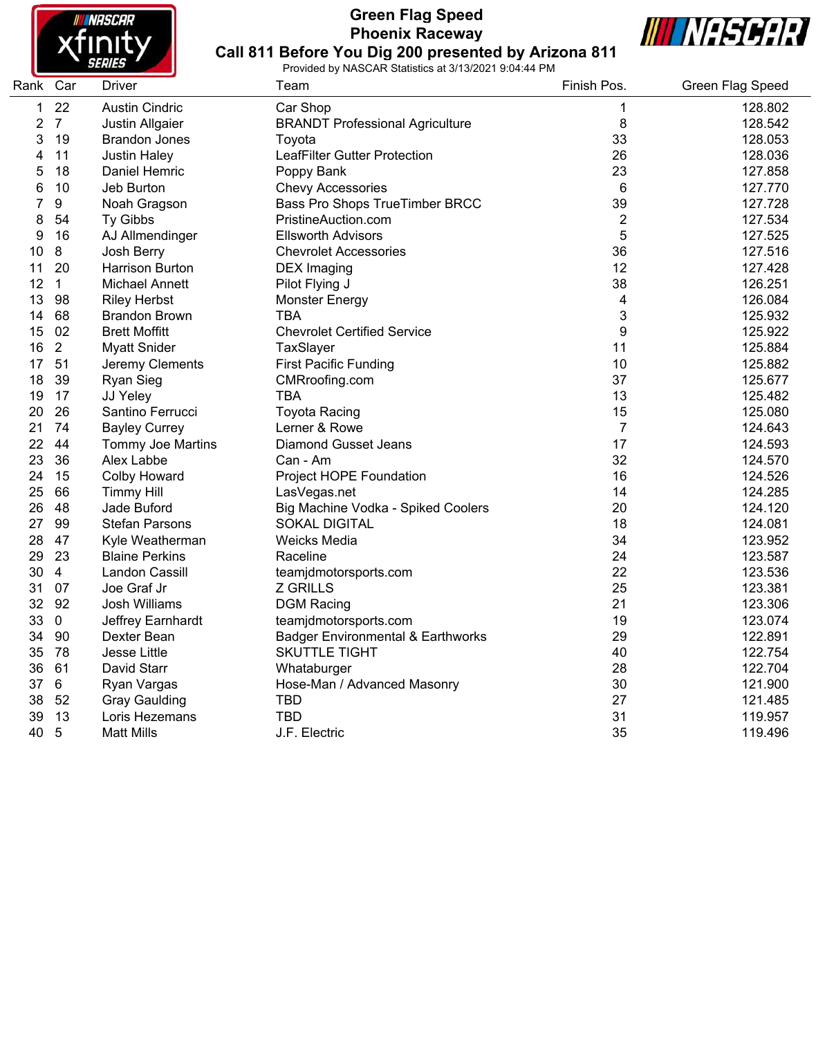

# **Green Flag Speed Phoenix Raceway**



**Call 811 Before You Dig 200 presented by Arizona 811** Provided by NASCAR Statistics at 3/13/2021 9:04:44 PM

| Rank Car |                  | Driver                   | Team                                   | Finish Pos.    | Green Flag Speed |
|----------|------------------|--------------------------|----------------------------------------|----------------|------------------|
| 1        | 22               | <b>Austin Cindric</b>    | Car Shop                               | 1              | 128.802          |
| 2        | $\overline{7}$   | Justin Allgaier          | <b>BRANDT Professional Agriculture</b> | 8              | 128.542          |
| 3        | 19               | <b>Brandon Jones</b>     | Toyota                                 | 33             | 128.053          |
| 4        | 11               | <b>Justin Haley</b>      | <b>LeafFilter Gutter Protection</b>    | 26             | 128.036          |
| 5        | 18               | Daniel Hemric            | Poppy Bank                             | 23             | 127.858          |
| 6        | 10               | Jeb Burton               | <b>Chevy Accessories</b>               | 6              | 127.770          |
| 7        | $\boldsymbol{9}$ | Noah Gragson             | Bass Pro Shops TrueTimber BRCC         | 39             | 127.728          |
| 8        | 54               | Ty Gibbs                 | PristineAuction.com                    | 2              | 127.534          |
| 9        | 16               | AJ Allmendinger          | <b>Ellsworth Advisors</b>              | 5              | 127.525          |
| 10       | 8                | Josh Berry               | <b>Chevrolet Accessories</b>           | 36             | 127.516          |
| 11       | 20               | <b>Harrison Burton</b>   | <b>DEX</b> Imaging                     | 12             | 127.428          |
| 12       | $\mathbf{1}$     | <b>Michael Annett</b>    | Pilot Flying J                         | 38             | 126.251          |
| 13       | 98               | <b>Riley Herbst</b>      | <b>Monster Energy</b>                  | 4              | 126.084          |
| 14       | 68               | <b>Brandon Brown</b>     | TBA                                    | 3              | 125.932          |
| 15       | 02               | <b>Brett Moffitt</b>     | <b>Chevrolet Certified Service</b>     | 9              | 125.922          |
| 16       | $\overline{2}$   | <b>Myatt Snider</b>      | TaxSlayer                              | 11             | 125.884          |
| 17       | 51               | Jeremy Clements          | <b>First Pacific Funding</b>           | 10             | 125.882          |
| 18       | 39               | <b>Ryan Sieg</b>         | CMRroofing.com                         | 37             | 125.677          |
| 19       | 17               | JJ Yeley                 | <b>TBA</b>                             | 13             | 125.482          |
| 20       | 26               | Santino Ferrucci         | <b>Toyota Racing</b>                   | 15             | 125.080          |
| 21       | 74               | <b>Bayley Currey</b>     | Lerner & Rowe                          | $\overline{7}$ | 124.643          |
| 22       | 44               | <b>Tommy Joe Martins</b> | <b>Diamond Gusset Jeans</b>            | 17             | 124.593          |
| 23       | 36               | Alex Labbe               | Can - Am                               | 32             | 124.570          |
| 24       | 15               | <b>Colby Howard</b>      | Project HOPE Foundation                | 16             | 124.526          |
| 25       | 66               | <b>Timmy Hill</b>        | LasVegas.net                           | 14             | 124.285          |
| 26       | 48               | Jade Buford              | Big Machine Vodka - Spiked Coolers     | 20             | 124.120          |
| 27       | 99               | <b>Stefan Parsons</b>    | <b>SOKAL DIGITAL</b>                   | 18             | 124.081          |
| 28       | 47               | Kyle Weatherman          | <b>Weicks Media</b>                    | 34             | 123.952          |
| 29       | 23               | <b>Blaine Perkins</b>    | Raceline                               | 24             | 123.587          |
| 30       | $\overline{4}$   | Landon Cassill           | teamjdmotorsports.com                  | 22             | 123.536          |
| 31       | 07               | Joe Graf Jr              | <b>Z GRILLS</b>                        | 25             | 123.381          |
| 32       | 92               | Josh Williams            | <b>DGM Racing</b>                      | 21             | 123.306          |
| 33       | $\pmb{0}$        | Jeffrey Earnhardt        | teamjdmotorsports.com                  | 19             | 123.074          |
| 34       | 90               | Dexter Bean              | Badger Environmental & Earthworks      | 29             | 122.891          |
| 35       | 78               | Jesse Little             | <b>SKUTTLE TIGHT</b>                   | 40             | 122.754          |
| 36       | 61               | David Starr              | Whataburger                            | 28             | 122.704          |
| 37       | 6                | Ryan Vargas              | Hose-Man / Advanced Masonry            | 30             | 121.900          |
| 38       | 52               | <b>Gray Gaulding</b>     | <b>TBD</b>                             | 27             | 121.485          |
| 39       | 13               | Loris Hezemans           | <b>TBD</b>                             | 31             | 119.957          |
| 40       | $\overline{5}$   | <b>Matt Mills</b>        | J.F. Electric                          | 35             | 119.496          |
|          |                  |                          |                                        |                |                  |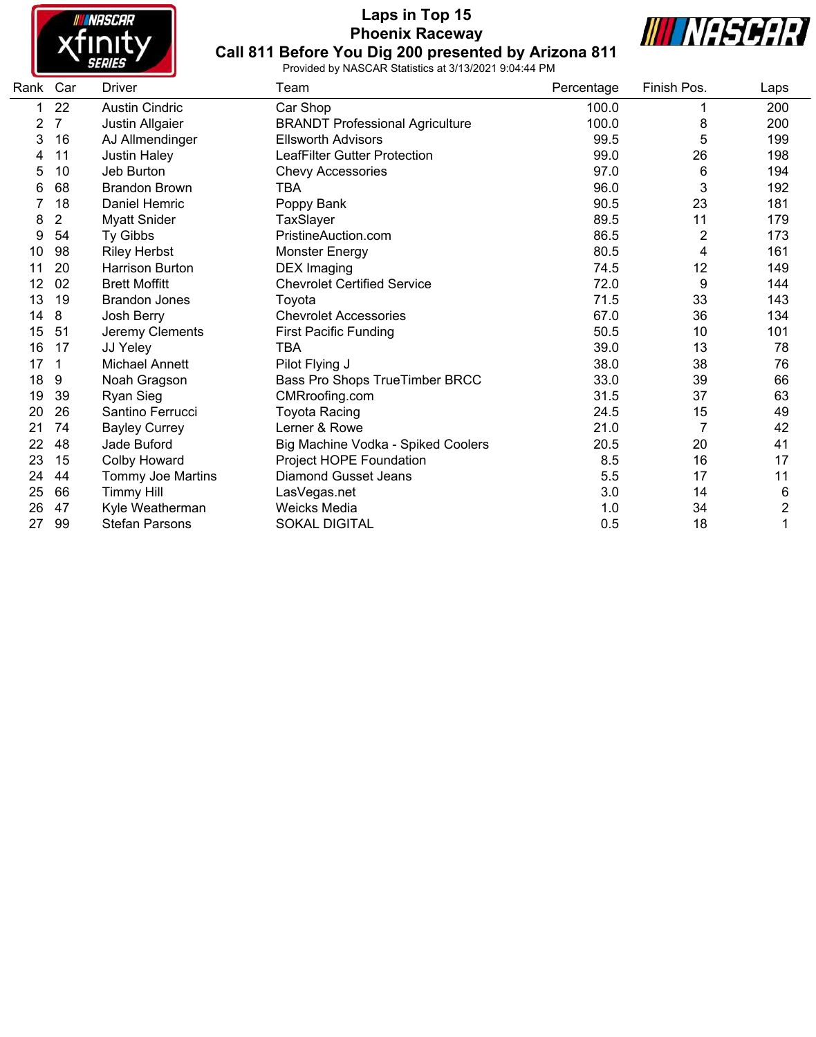

# **Laps in Top 15 Phoenix Raceway Call 811 Before You Dig 200 presented by Arizona 811**



| Rank Car |                | Driver                   | Team                                   | Percentage | Finish Pos.    | Laps |
|----------|----------------|--------------------------|----------------------------------------|------------|----------------|------|
|          | 22             | <b>Austin Cindric</b>    | Car Shop                               | 100.0      |                | 200  |
| 2        | $\overline{7}$ | Justin Allgaier          | <b>BRANDT Professional Agriculture</b> | 100.0      | 8              | 200  |
| 3        | 16             | AJ Allmendinger          | <b>Ellsworth Advisors</b>              | 99.5       | 5              | 199  |
| 4        | 11             | <b>Justin Haley</b>      | <b>LeafFilter Gutter Protection</b>    | 99.0       | 26             | 198  |
| 5        | 10             | Jeb Burton               | <b>Chevy Accessories</b>               | 97.0       | 6              | 194  |
| 6        | 68             | <b>Brandon Brown</b>     | TBA                                    | 96.0       | 3              | 192  |
|          | 18             | <b>Daniel Hemric</b>     | Poppy Bank                             | 90.5       | 23             | 181  |
| 8        | 2              | <b>Myatt Snider</b>      | TaxSlayer                              | 89.5       | 11             | 179  |
| 9        | 54             | Ty Gibbs                 | PristineAuction.com                    | 86.5       | $\overline{2}$ | 173  |
| 10       | 98             | <b>Riley Herbst</b>      | <b>Monster Energy</b>                  | 80.5       | 4              | 161  |
| 11       | 20             | <b>Harrison Burton</b>   | <b>DEX Imaging</b>                     | 74.5       | 12             | 149  |
| 12       | 02             | <b>Brett Moffitt</b>     | <b>Chevrolet Certified Service</b>     | 72.0       | 9              | 144  |
| 13       | 19             | <b>Brandon Jones</b>     | Toyota                                 | 71.5       | 33             | 143  |
| 14       | 8              | Josh Berry               | <b>Chevrolet Accessories</b>           | 67.0       | 36             | 134  |
| 15       | 51             | Jeremy Clements          | <b>First Pacific Funding</b>           | 50.5       | 10             | 101  |
| 16       | 17             | JJ Yeley                 | TBA                                    | 39.0       | 13             | 78   |
| 17       | 1              | <b>Michael Annett</b>    | Pilot Flying J                         | 38.0       | 38             | 76   |
| 18       | 9              | Noah Gragson             | Bass Pro Shops TrueTimber BRCC         | 33.0       | 39             | 66   |
| 19       | 39             | Ryan Sieg                | CMRroofing.com                         | 31.5       | 37             | 63   |
| 20       | 26             | Santino Ferrucci         | <b>Toyota Racing</b>                   | 24.5       | 15             | 49   |
| 21       | 74             | <b>Bayley Currey</b>     | Lerner & Rowe                          | 21.0       | 7              | 42   |
| 22       | 48             | Jade Buford              | Big Machine Vodka - Spiked Coolers     | 20.5       | 20             | 41   |
| 23       | 15             | Colby Howard             | Project HOPE Foundation                | 8.5        | 16             | 17   |
| 24       | 44             | <b>Tommy Joe Martins</b> | <b>Diamond Gusset Jeans</b>            | 5.5        | 17             | 11   |
| 25       | 66             | <b>Timmy Hill</b>        | LasVegas.net                           | 3.0        | 14             | 6    |
| 26       | 47             | Kyle Weatherman          | <b>Weicks Media</b>                    | 1.0        | 34             | 2    |
| 27       | 99             | <b>Stefan Parsons</b>    | <b>SOKAL DIGITAL</b>                   | 0.5        | 18             |      |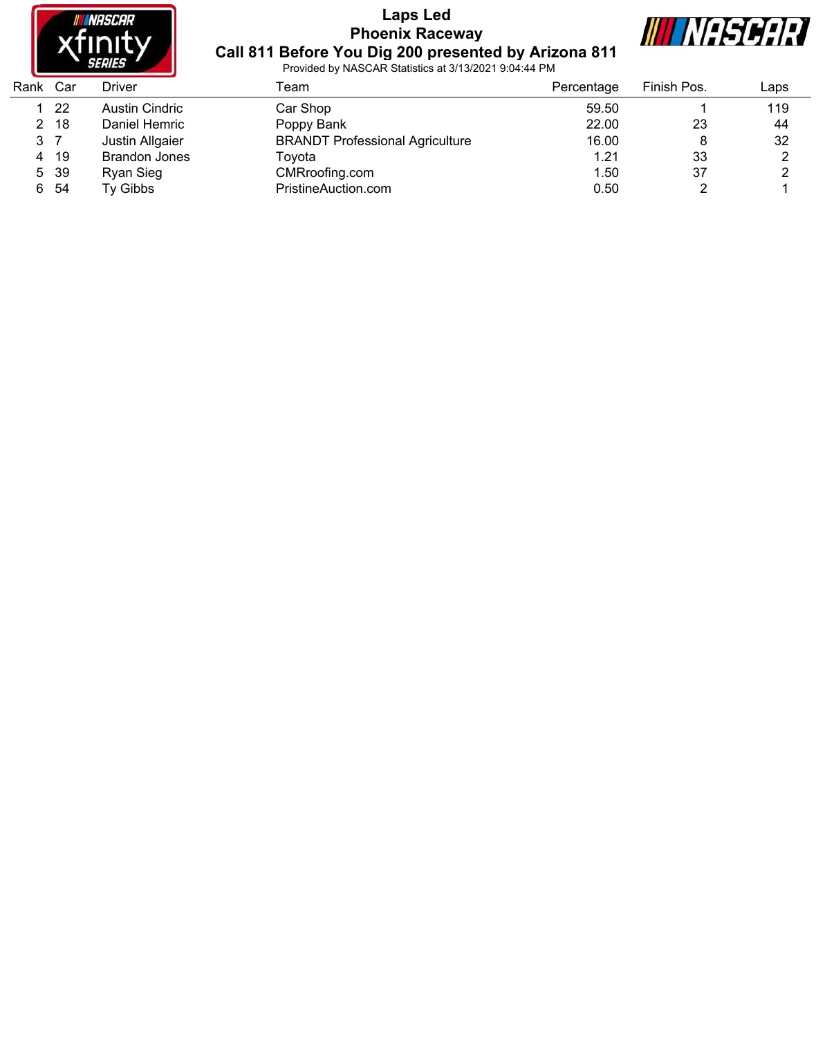

# **Laps Led Phoenix Raceway Call 811 Before You Dig 200 presented by Arizona 811**



| Rank | Car  | Driver               | Геаm                                   | Percentage | Finish Pos. | Laps |
|------|------|----------------------|----------------------------------------|------------|-------------|------|
|      | 22   | Austin Cindric       | Car Shop                               | 59.50      |             | 119  |
| 2    | -18  | Daniel Hemric        | Poppy Bank                             | 22.00      | 23          | 44   |
| 3 7  |      | Justin Allgaier      | <b>BRANDT Professional Agriculture</b> | 16.00      | 8           | 32   |
| 4    | 19   | <b>Brandon Jones</b> | Tovota                                 | 1.21       | 33          |      |
|      | 5 39 | Ryan Sieg            | CMRroofing.com                         | 1.50       | 37          | ◠    |
| 6    | -54  | Ty Gibbs             | PristineAuction.com                    | 0.50       |             |      |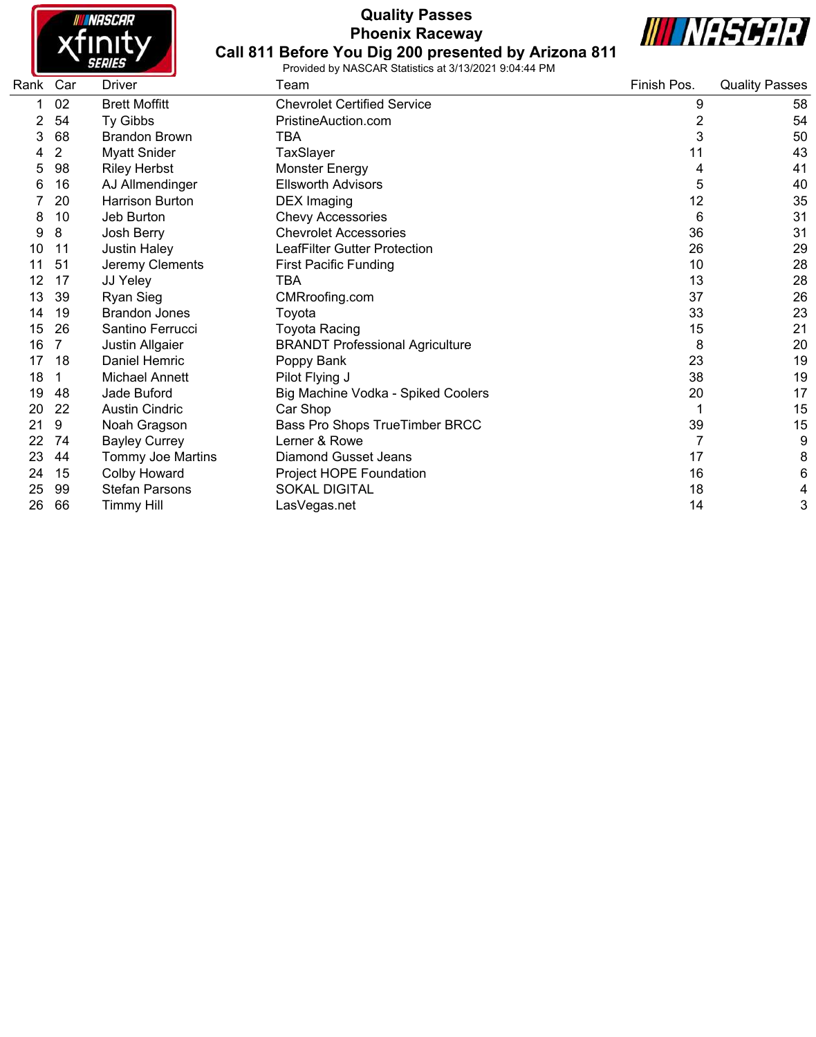

# **Quality Passes Phoenix Raceway**



**Call 811 Before You Dig 200 presented by Arizona 811** Provided by NASCAR Statistics at 3/13/2021 9:04:44 PM

| Rank | Car | <b>Driver</b>         | Team                                   | Finish Pos.    | <b>Quality Passes</b> |
|------|-----|-----------------------|----------------------------------------|----------------|-----------------------|
|      | 02  | <b>Brett Moffitt</b>  | <b>Chevrolet Certified Service</b>     | 9              | 58                    |
|      | 54  | Ty Gibbs              | PristineAuction.com                    | $\overline{c}$ | 54                    |
| 3    | 68  | <b>Brandon Brown</b>  | TBA                                    | 3              | 50                    |
|      | 2   | <b>Myatt Snider</b>   | TaxSlayer                              | 11             | 43                    |
| 5    | 98  | <b>Riley Herbst</b>   | <b>Monster Energy</b>                  | 4              | 41                    |
| 6    | 16  | AJ Allmendinger       | <b>Ellsworth Advisors</b>              | 5              | 40                    |
|      | 20  | Harrison Burton       | <b>DEX Imaging</b>                     | 12             | 35                    |
| 8    | 10  | Jeb Burton            | <b>Chevy Accessories</b>               | 6              | 31                    |
| 9    | 8   | Josh Berry            | <b>Chevrolet Accessories</b>           | 36             | 31                    |
| 10   | 11  | <b>Justin Haley</b>   | LeafFilter Gutter Protection           | 26             | 29                    |
| 11   | 51  | Jeremy Clements       | <b>First Pacific Funding</b>           | 10             | 28                    |
| 12   | 17  | JJ Yeley              | TBA                                    | 13             | 28                    |
| 13   | 39  | Ryan Sieg             | CMRroofing.com                         | 37             | 26                    |
| 14   | 19  | <b>Brandon Jones</b>  | Toyota                                 | 33             | 23                    |
| 15   | 26  | Santino Ferrucci      | Toyota Racing                          | 15             | 21                    |
| 16   | 7   | Justin Allgaier       | <b>BRANDT Professional Agriculture</b> | 8              | 20                    |
| 17   | 18  | Daniel Hemric         | Poppy Bank                             | 23             | 19                    |
| 18   | 1   | Michael Annett        | Pilot Flying J                         | 38             | 19                    |
| 19   | 48  | Jade Buford           | Big Machine Vodka - Spiked Coolers     | 20             | 17                    |
| 20   | 22  | <b>Austin Cindric</b> | Car Shop                               |                | 15                    |
| 21   | 9   | Noah Gragson          | Bass Pro Shops TrueTimber BRCC         | 39             | 15                    |
| 22   | 74  | <b>Bayley Currey</b>  | Lerner & Rowe                          | 7              | 9                     |
| 23   | 44  | Tommy Joe Martins     | <b>Diamond Gusset Jeans</b>            | 17             | 8                     |
| 24   | 15  | Colby Howard          | Project HOPE Foundation                | 16             | $\,6$                 |
| 25   | 99  | <b>Stefan Parsons</b> | <b>SOKAL DIGITAL</b>                   | 18             | 4                     |
| 26   | 66  | <b>Timmy Hill</b>     | LasVegas.net                           | 14             | 3                     |
|      |     |                       |                                        |                |                       |